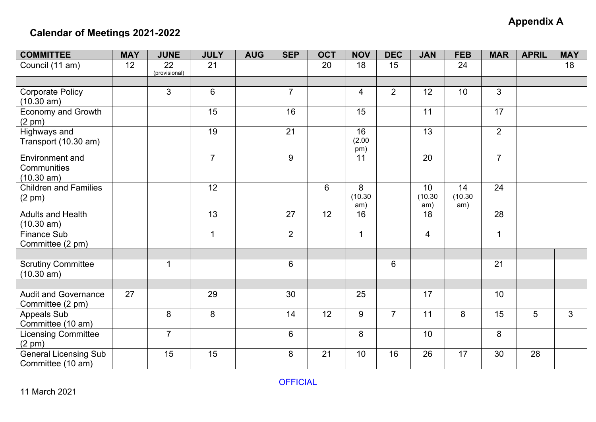## **Appendix A**

## **Calendar of Meetings 2021-2022**

| <b>COMMITTEE</b>                                    | <b>MAY</b> | <b>JUNE</b>         | <b>JULY</b>     | <b>AUG</b> | <b>SEP</b>     | <b>OCT</b> | <b>NOV</b>          | <b>DEC</b>     | <b>JAN</b>                        | <b>FEB</b>           | <b>MAR</b>     | <b>APRIL</b> | <b>MAY</b> |
|-----------------------------------------------------|------------|---------------------|-----------------|------------|----------------|------------|---------------------|----------------|-----------------------------------|----------------------|----------------|--------------|------------|
| Council (11 am)                                     | 12         | 22<br>(provisional) | 21              |            |                | 20         | 18                  | 15             |                                   | 24                   |                |              | 18         |
|                                                     |            |                     |                 |            |                |            |                     |                |                                   |                      |                |              |            |
| <b>Corporate Policy</b><br>(10.30 am)               |            | $\overline{3}$      | $6\overline{6}$ |            | $\overline{7}$ |            | $\overline{4}$      | $\overline{2}$ | 12                                | 10                   | $\mathfrak{S}$ |              |            |
| Economy and Growth<br>$(2 \text{ pm})$              |            |                     | 15              |            | 16             |            | 15                  |                | 11                                |                      | 17             |              |            |
| Highways and<br>Transport (10.30 am)                |            |                     | 19              |            | 21             |            | 16<br>(2.00)<br>pm) |                | 13                                |                      | $\overline{2}$ |              |            |
| <b>Environment</b> and<br>Communities<br>(10.30 am) |            |                     | $\overline{7}$  |            | 9              |            | 11                  |                | 20                                |                      | $\overline{7}$ |              |            |
| <b>Children and Families</b><br>$(2 \text{ pm})$    |            |                     | 12              |            |                | 6          | 8<br>(10.30)<br>am) |                | 10 <sup>°</sup><br>(10.30)<br>am) | 14<br>(10.30)<br>am) | 24             |              |            |
| <b>Adults and Health</b><br>(10.30 am)              |            |                     | 13              |            | 27             | 12         | 16                  |                | 18                                |                      | 28             |              |            |
| <b>Finance Sub</b><br>Committee (2 pm)              |            |                     | $\overline{1}$  |            | $\overline{2}$ |            | $\mathbf{1}$        |                | $\overline{4}$                    |                      | $\mathbf{1}$   |              |            |
|                                                     |            |                     |                 |            |                |            |                     |                |                                   |                      |                |              |            |
| <b>Scrutiny Committee</b><br>(10.30 am)             |            | 1                   |                 |            | 6              |            |                     | 6              |                                   |                      | 21             |              |            |
|                                                     |            |                     |                 |            |                |            |                     |                |                                   |                      |                |              |            |
| <b>Audit and Governance</b><br>Committee (2 pm)     | 27         |                     | 29              |            | 30             |            | 25                  |                | 17                                |                      | 10             |              |            |
| Appeals Sub<br>Committee (10 am)                    |            | 8                   | 8               |            | 14             | 12         | 9                   | $\overline{7}$ | 11                                | 8                    | 15             | 5            | 3          |
| <b>Licensing Committee</b><br>(2 pm)                |            | $\overline{7}$      |                 |            | 6              |            | 8                   |                | 10                                |                      | 8              |              |            |
| <b>General Licensing Sub</b><br>Committee (10 am)   |            | 15                  | 15              |            | 8              | 21         | 10                  | 16             | 26                                | 17                   | 30             | 28           |            |

OFFICIAL